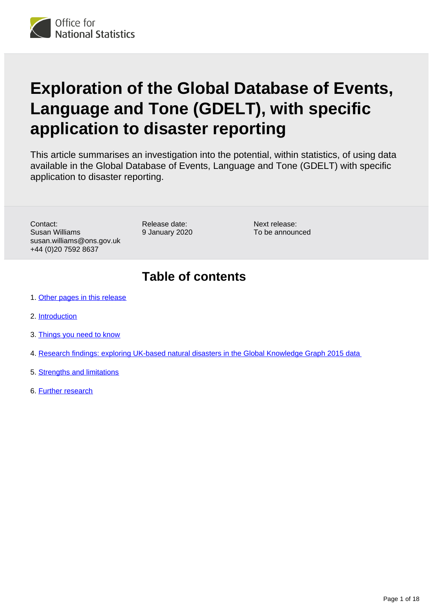

# **Exploration of the Global Database of Events, Language and Tone (GDELT), with specific application to disaster reporting**

This article summarises an investigation into the potential, within statistics, of using data available in the Global Database of Events, Language and Tone (GDELT) with specific application to disaster reporting.

Contact: Susan Williams susan.williams@ons.gov.uk +44 (0)20 7592 8637

Release date: 9 January 2020

Next release: To be announced

## **Table of contents**

- 1. [Other pages in this release](#page-1-0)
- 2. [Introduction](#page-1-1)
- 3. [Things you need to know](#page-2-0)
- 4. [Research findings: exploring UK-based natural disasters in the Global Knowledge Graph 2015 data](#page-5-0)
- 5. [Strengths and limitations](#page-17-0)
- 6. [Further research](#page-17-1)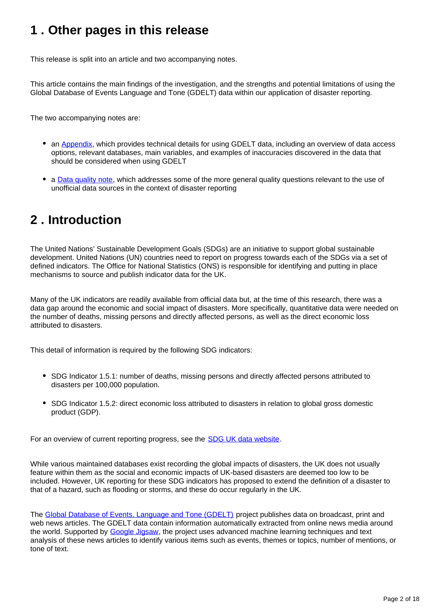## <span id="page-1-0"></span>**1 . Other pages in this release**

This release is split into an article and two accompanying notes.

This article contains the main findings of the investigation, and the strengths and potential limitations of using the Global Database of Events Language and Tone (GDELT) data within our application of disaster reporting.

The two accompanying notes are:

- an [Appendix,](https://www.ons.gov.uk/peoplepopulationandcommunity/birthsdeathsandmarriages/deaths/methodologies/globaldatabaseofeventslanguageandtonegdeltappendix) which provides technical details for using GDELT data, including an overview of data access options, relevant databases, main variables, and examples of inaccuracies discovered in the data that should be considered when using GDELT
- a **[Data quality note](https://www.ons.gov.uk/peoplepopulationandcommunity/birthsdeathsandmarriages/deaths/methodologies/globaldatabaseofeventslanguageandtonegdeltdataqualitynote)**, which addresses some of the more general quality questions relevant to the use of unofficial data sources in the context of disaster reporting

## <span id="page-1-1"></span>**2 . Introduction**

The United Nations' Sustainable Development Goals (SDGs) are an initiative to support global sustainable development. United Nations (UN) countries need to report on progress towards each of the SDGs via a set of defined indicators. The Office for National Statistics (ONS) is responsible for identifying and putting in place mechanisms to source and publish indicator data for the UK.

Many of the UK indicators are readily available from official data but, at the time of this research, there was a data gap around the economic and social impact of disasters. More specifically, quantitative data were needed on the number of deaths, missing persons and directly affected persons, as well as the direct economic loss attributed to disasters.

This detail of information is required by the following SDG indicators:

- SDG Indicator 1.5.1: number of deaths, missing persons and directly affected persons attributed to disasters per 100,000 population.
- SDG Indicator 1.5.2: direct economic loss attributed to disasters in relation to global gross domestic product (GDP).

For an overview of current reporting progress, see the **SDG UK data website**.

While various maintained databases exist recording the global impacts of disasters, the UK does not usually feature within them as the social and economic impacts of UK-based disasters are deemed too low to be included. However, UK reporting for these SDG indicators has proposed to extend the definition of a disaster to that of a hazard, such as flooding or storms, and these do occur regularly in the UK.

The [Global Database of Events, Language and Tone \(GDELT\)](https://www.gdeltproject.org/) project publishes data on broadcast, print and web news articles. The GDELT data contain information automatically extracted from online news media around the world. Supported by [Google Jigsaw](https://jigsaw.google.com/), the project uses advanced machine learning techniques and text analysis of these news articles to identify various items such as events, themes or topics, number of mentions, or tone of text.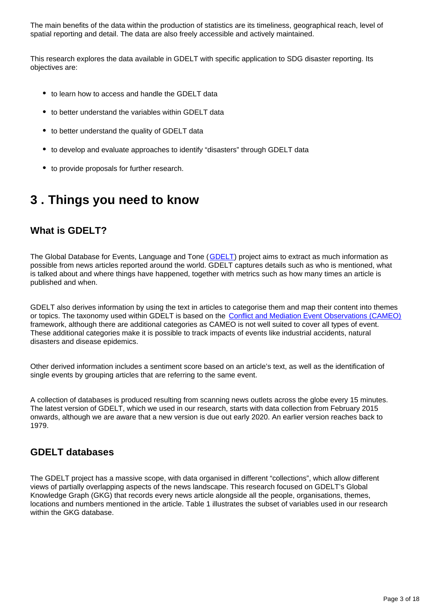The main benefits of the data within the production of statistics are its timeliness, geographical reach, level of spatial reporting and detail. The data are also freely accessible and actively maintained.

This research explores the data available in GDELT with specific application to SDG disaster reporting. Its objectives are:

- to learn how to access and handle the GDELT data
- to better understand the variables within GDELT data
- to better understand the quality of GDELT data
- to develop and evaluate approaches to identify "disasters" through GDELT data
- to provide proposals for further research.

## <span id="page-2-0"></span>**3 . Things you need to know**

### **What is GDELT?**

The Global Database for Events, Language and Tone ([GDELT](https://www.gdeltproject.org/)) project aims to extract as much information as possible from news articles reported around the world. GDELT captures details such as who is mentioned, what is talked about and where things have happened, together with metrics such as how many times an article is published and when.

GDELT also derives information by using the text in articles to categorise them and map their content into themes or topics. The taxonomy used within GDELT is based on the [Conflict and Mediation Event Observations \(CAMEO\)](http://www.eventdata.parusanalytics.com/data.dir/cameo.html) framework, although there are additional categories as CAMEO is not well suited to cover all types of event. These additional categories make it is possible to track impacts of events like industrial accidents, natural disasters and disease epidemics.

Other derived information includes a sentiment score based on an article's text, as well as the identification of single events by grouping articles that are referring to the same event.

A collection of databases is produced resulting from scanning news outlets across the globe every 15 minutes. The latest version of GDELT, which we used in our research, starts with data collection from February 2015 onwards, although we are aware that a new version is due out early 2020. An earlier version reaches back to 1979.

### **GDELT databases**

The GDELT project has a massive scope, with data organised in different "collections", which allow different views of partially overlapping aspects of the news landscape. This research focused on GDELT's Global Knowledge Graph (GKG) that records every news article alongside all the people, organisations, themes, locations and numbers mentioned in the article. Table 1 illustrates the subset of variables used in our research within the GKG database.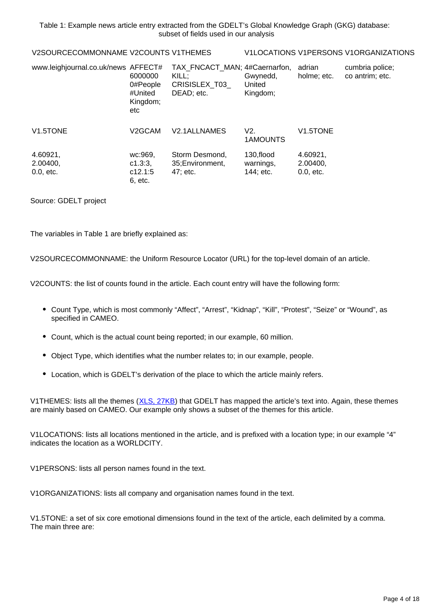Table 1: Example news article entry extracted from the GDELT's Global Knowledge Graph (GKG) database: subset of fields used in our analysis

|--|--|

#### V1LOCATIONS V1PERSONS V1ORGANIZATIONS

| www.leighjournal.co.uk/news AFFECT# | 6000000<br>0#People<br>#United<br>Kingdom;<br>etc | TAX FNCACT MAN; 4#Caernarfon,<br>KILL:<br>CRISISLEX T03<br>DEAD; etc. | Gwynedd,<br>United<br>Kingdom;       | adrian<br>holme; etc.               | cumbria police;<br>co antrim; etc. |
|-------------------------------------|---------------------------------------------------|-----------------------------------------------------------------------|--------------------------------------|-------------------------------------|------------------------------------|
| V1.5TONE                            | V2GCAM                                            | V <sub>2.1</sub> ALLNAMES                                             | V2.<br>1AMOUNTS                      | V <sub>1.5</sub> TONE               |                                    |
| 4.60921,<br>2.00400,<br>$0.0,$ etc. | wc:969,<br>c1.3:3.<br>c12.1:5<br>6. etc.          | Storm Desmond,<br>35; Environment,<br>47; etc.                        | 130, flood<br>warnings,<br>144; etc. | 4.60921,<br>2.00400,<br>$0.0,$ etc. |                                    |

Source: GDELT project

The variables in Table 1 are briefly explained as:

V2SOURCECOMMONNAME: the Uniform Resource Locator (URL) for the top-level domain of an article.

V2COUNTS: the list of counts found in the article. Each count entry will have the following form:

- Count Type, which is most commonly "Affect", "Arrest", "Kidnap", "Kill", "Protest", "Seize" or "Wound", as specified in CAMEO.
- Count, which is the actual count being reported; in our example, 60 million.
- Object Type, which identifies what the number relates to; in our example, people.
- Location, which is GDELT's derivation of the place to which the article mainly refers.

V1THEMES: lists all the themes ([XLS, 27KB\)](http://data.gdeltproject.org/documentation/GDELT-Global_Knowledge_Graph_CategoryList.xlsx) that GDELT has mapped the article's text into. Again, these themes are mainly based on CAMEO. Our example only shows a subset of the themes for this article.

V1LOCATIONS: lists all locations mentioned in the article, and is prefixed with a location type; in our example "4" indicates the location as a WORLDCITY.

V1PERSONS: lists all person names found in the text.

V1ORGANIZATIONS: lists all company and organisation names found in the text.

V1.5TONE: a set of six core emotional dimensions found in the text of the article, each delimited by a comma. The main three are: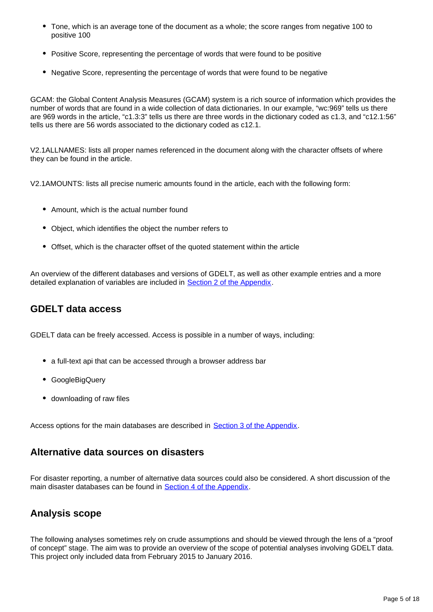- Tone, which is an average tone of the document as a whole; the score ranges from negative 100 to positive 100
- Positive Score, representing the percentage of words that were found to be positive
- Negative Score, representing the percentage of words that were found to be negative

GCAM: the Global Content Analysis Measures (GCAM) system is a rich source of information which provides the number of words that are found in a wide collection of data dictionaries. In our example, "wc:969" tells us there are 969 words in the article, "c1.3:3" tells us there are three words in the dictionary coded as c1.3, and "c12.1:56" tells us there are 56 words associated to the dictionary coded as c12.1.

V2.1ALLNAMES: lists all proper names referenced in the document along with the character offsets of where they can be found in the article.

V2.1AMOUNTS: lists all precise numeric amounts found in the article, each with the following form:

- Amount, which is the actual number found
- Object, which identifies the object the number refers to
- Offset, which is the character offset of the quoted statement within the article

An overview of the different databases and versions of GDELT, as well as other example entries and a more detailed explanation of variables are included in **[Section 2 of the Appendix](http://%20https://www.ons.gov.uk/peoplepopulationandcommunity/birthsdeathsandmarriages/deaths/methodologies/globaldatabaseofeventslanguageandtonegdeltappendix#gdelt-databases)**.

### **GDELT data access**

GDELT data can be freely accessed. Access is possible in a number of ways, including:

- a full-text api that can be accessed through a browser address bar
- GoogleBigQuery
- downloading of raw files

Access options for the main databases are described in [Section 3 of the Appendix](https://www.ons.gov.uk/peoplepopulationandcommunity/birthsdeathsandmarriages/deaths/methodologies/globaldatabaseofeventslanguageandtonegdeltappendix#gdelt-data-access-details).

### **Alternative data sources on disasters**

For disaster reporting, a number of alternative data sources could also be considered. A short discussion of the main disaster databases can be found in **[Section 4 of the Appendix](https://www.ons.gov.uk/peoplepopulationandcommunity/birthsdeathsandmarriages/deaths/methodologies/globaldatabaseofeventslanguageandtonegdeltappendix#known-disaster-databases)**.

### **Analysis scope**

The following analyses sometimes rely on crude assumptions and should be viewed through the lens of a "proof of concept" stage. The aim was to provide an overview of the scope of potential analyses involving GDELT data. This project only included data from February 2015 to January 2016.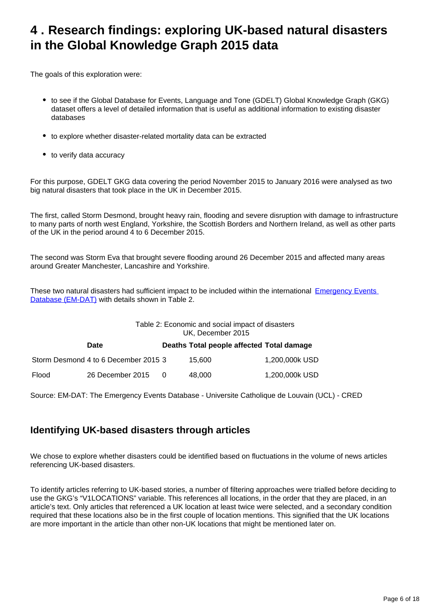## <span id="page-5-0"></span>**4 . Research findings: exploring UK-based natural disasters in the Global Knowledge Graph 2015 data**

The goals of this exploration were:

- to see if the Global Database for Events, Language and Tone (GDELT) Global Knowledge Graph (GKG) dataset offers a level of detailed information that is useful as additional information to existing disaster databases
- to explore whether disaster-related mortality data can be extracted
- to verify data accuracy

For this purpose, GDELT GKG data covering the period November 2015 to January 2016 were analysed as two big natural disasters that took place in the UK in December 2015.

The first, called Storm Desmond, brought heavy rain, flooding and severe disruption with damage to infrastructure to many parts of north west England, Yorkshire, the Scottish Borders and Northern Ireland, as well as other parts of the UK in the period around 4 to 6 December 2015.

The second was Storm Eva that brought severe flooding around 26 December 2015 and affected many areas around Greater Manchester, Lancashire and Yorkshire.

These two natural disasters had sufficient impact to be included within the international [Emergency Events](https://www.emdat.be/index.php)  [Database \(EM-DAT\)](https://www.emdat.be/index.php) with details shown in Table 2.

|       | Table 2: Economic and social impact of disasters<br>UK, December 2015 |     |                                           |                |  |
|-------|-----------------------------------------------------------------------|-----|-------------------------------------------|----------------|--|
|       | Date                                                                  |     | Deaths Total people affected Total damage |                |  |
|       | Storm Desmond 4 to 6 December 2015 3                                  |     | 15.600                                    | 1,200,000k USD |  |
| Flood | 26 December 2015                                                      | - 0 | 48.000                                    | 1,200,000k USD |  |

Source: EM-DAT: The Emergency Events Database - Universite Catholique de Louvain (UCL) - CRED

### **Identifying UK-based disasters through articles**

We chose to explore whether disasters could be identified based on fluctuations in the volume of news articles referencing UK-based disasters.

To identify articles referring to UK-based stories, a number of filtering approaches were trialled before deciding to use the GKG's "V1LOCATIONS" variable. This references all locations, in the order that they are placed, in an article's text. Only articles that referenced a UK location at least twice were selected, and a secondary condition required that these locations also be in the first couple of location mentions. This signified that the UK locations are more important in the article than other non-UK locations that might be mentioned later on.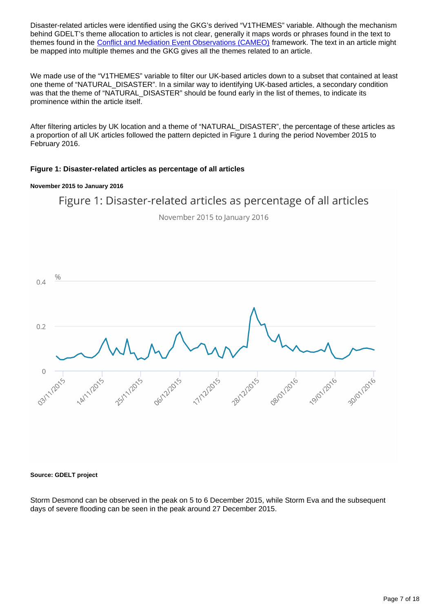Disaster-related articles were identified using the GKG's derived "V1THEMES" variable. Although the mechanism behind GDELT's theme allocation to articles is not clear, generally it maps words or phrases found in the text to themes found in the [Conflict and Mediation Event Observations \(CAMEO\)](http://www.eventdata.parusanalytics.com/data.dir/cameo.html) framework. The text in an article might be mapped into multiple themes and the GKG gives all the themes related to an article.

We made use of the "V1THEMES" variable to filter our UK-based articles down to a subset that contained at least one theme of "NATURAL\_DISASTER". In a similar way to identifying UK-based articles, a secondary condition was that the theme of "NATURAL\_DISASTER" should be found early in the list of themes, to indicate its prominence within the article itself.

After filtering articles by UK location and a theme of "NATURAL\_DISASTER", the percentage of these articles as a proportion of all UK articles followed the pattern depicted in Figure 1 during the period November 2015 to February 2016.

#### **Figure 1: Disaster-related articles as percentage of all articles**

#### **November 2015 to January 2016**



November 2015 to January 2016



#### **Source: GDELT project**

Storm Desmond can be observed in the peak on 5 to 6 December 2015, while Storm Eva and the subsequent days of severe flooding can be seen in the peak around 27 December 2015.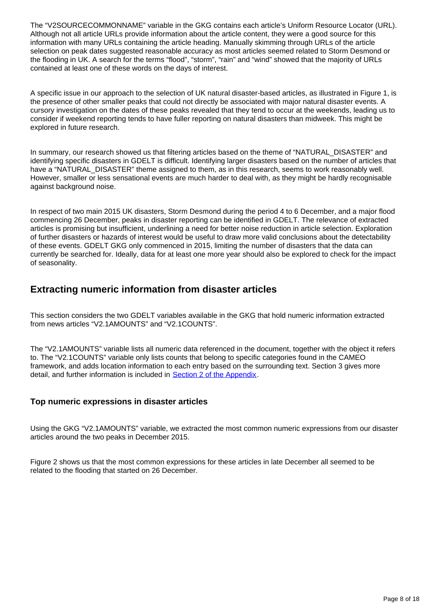The "V2SOURCECOMMONNAME" variable in the GKG contains each article's Uniform Resource Locator (URL). Although not all article URLs provide information about the article content, they were a good source for this information with many URLs containing the article heading. Manually skimming through URLs of the article selection on peak dates suggested reasonable accuracy as most articles seemed related to Storm Desmond or the flooding in UK. A search for the terms "flood", "storm", "rain" and "wind" showed that the majority of URLs contained at least one of these words on the days of interest.

A specific issue in our approach to the selection of UK natural disaster-based articles, as illustrated in Figure 1, is the presence of other smaller peaks that could not directly be associated with major natural disaster events. A cursory investigation on the dates of these peaks revealed that they tend to occur at the weekends, leading us to consider if weekend reporting tends to have fuller reporting on natural disasters than midweek. This might be explored in future research.

In summary, our research showed us that filtering articles based on the theme of "NATURAL\_DISASTER" and identifying specific disasters in GDELT is difficult. Identifying larger disasters based on the number of articles that have a "NATURAL\_DISASTER" theme assigned to them, as in this research, seems to work reasonably well. However, smaller or less sensational events are much harder to deal with, as they might be hardly recognisable against background noise.

In respect of two main 2015 UK disasters, Storm Desmond during the period 4 to 6 December, and a major flood commencing 26 December, peaks in disaster reporting can be identified in GDELT. The relevance of extracted articles is promising but insufficient, underlining a need for better noise reduction in article selection. Exploration of further disasters or hazards of interest would be useful to draw more valid conclusions about the detectability of these events. GDELT GKG only commenced in 2015, limiting the number of disasters that the data can currently be searched for. Ideally, data for at least one more year should also be explored to check for the impact of seasonality.

### **Extracting numeric information from disaster articles**

This section considers the two GDELT variables available in the GKG that hold numeric information extracted from news articles "V2.1AMOUNTS" and "V2.1COUNTS".

The "V2.1AMOUNTS" variable lists all numeric data referenced in the document, together with the object it refers to. The "V2.1COUNTS" variable only lists counts that belong to specific categories found in the CAMEO framework, and adds location information to each entry based on the surrounding text. Section 3 gives more detail, and further information is included in [Section 2 of the Appendix](https://www.ons.gov.uk/peoplepopulationandcommunity/birthsdeathsandmarriages/deaths/methodologies/globaldatabaseofeventslanguageandtonegdeltappendix#gdelt-databases).

#### **Top numeric expressions in disaster articles**

Using the GKG "V2.1AMOUNTS" variable, we extracted the most common numeric expressions from our disaster articles around the two peaks in December 2015.

Figure 2 shows us that the most common expressions for these articles in late December all seemed to be related to the flooding that started on 26 December.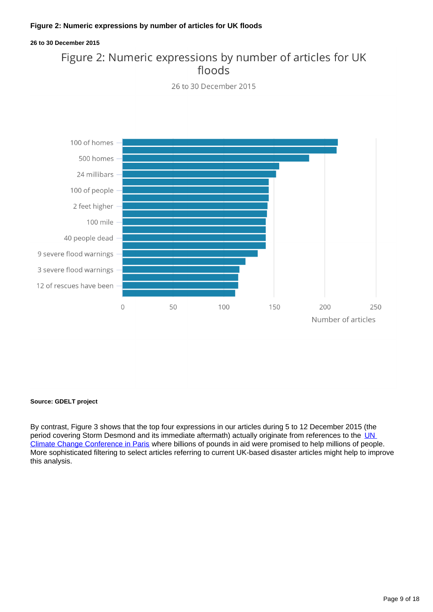#### **Figure 2: Numeric expressions by number of articles for UK floods**

#### **26 to 30 December 2015**

## Figure 2: Numeric expressions by number of articles for UK floods



26 to 30 December 2015

#### **Source: GDELT project**

By contrast, Figure 3 shows that the top four expressions in our articles during 5 to 12 December 2015 (the period covering Storm Desmond and its immediate aftermath) actually originate from references to the UN [Climate Change Conference in Paris](https://www.un.org/sustainabledevelopment/cop21/) where billions of pounds in aid were promised to help millions of people. More sophisticated filtering to select articles referring to current UK-based disaster articles might help to improve this analysis.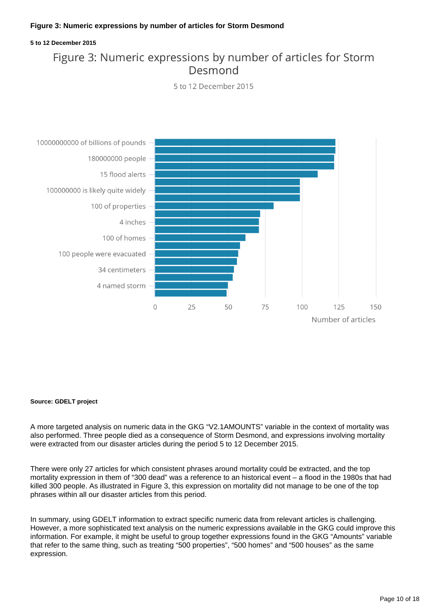#### **Figure 3: Numeric expressions by number of articles for Storm Desmond**

#### **5 to 12 December 2015**

## Figure 3: Numeric expressions by number of articles for Storm Desmond





#### **Source: GDELT project**

A more targeted analysis on numeric data in the GKG "V2.1AMOUNTS" variable in the context of mortality was also performed. Three people died as a consequence of Storm Desmond, and expressions involving mortality were extracted from our disaster articles during the period 5 to 12 December 2015.

There were only 27 articles for which consistent phrases around mortality could be extracted, and the top mortality expression in them of "300 dead" was a reference to an historical event – a flood in the 1980s that had killed 300 people. As illustrated in Figure 3, this expression on mortality did not manage to be one of the top phrases within all our disaster articles from this period.

In summary, using GDELT information to extract specific numeric data from relevant articles is challenging. However, a more sophisticated text analysis on the numeric expressions available in the GKG could improve this information. For example, it might be useful to group together expressions found in the GKG "Amounts" variable that refer to the same thing, such as treating "500 properties", "500 homes" and "500 houses" as the same expression.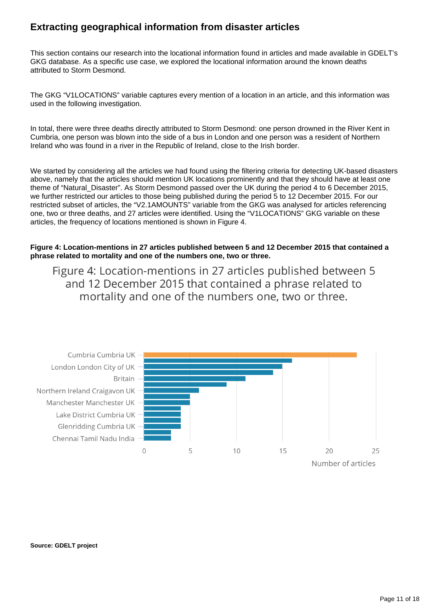### **Extracting geographical information from disaster articles**

This section contains our research into the locational information found in articles and made available in GDELT's GKG database. As a specific use case, we explored the locational information around the known deaths attributed to Storm Desmond.

The GKG "V1LOCATIONS" variable captures every mention of a location in an article, and this information was used in the following investigation.

In total, there were three deaths directly attributed to Storm Desmond: one person drowned in the River Kent in Cumbria, one person was blown into the side of a bus in London and one person was a resident of Northern Ireland who was found in a river in the Republic of Ireland, close to the Irish border.

We started by considering all the articles we had found using the filtering criteria for detecting UK-based disasters above, namely that the articles should mention UK locations prominently and that they should have at least one theme of "Natural Disaster". As Storm Desmond passed over the UK during the period 4 to 6 December 2015, we further restricted our articles to those being published during the period 5 to 12 December 2015. For our restricted subset of articles, the "V2.1AMOUNTS" variable from the GKG was analysed for articles referencing one, two or three deaths, and 27 articles were identified. Using the "V1LOCATIONS" GKG variable on these articles, the frequency of locations mentioned is shown in Figure 4.

**Figure 4: Location-mentions in 27 articles published between 5 and 12 December 2015 that contained a phrase related to mortality and one of the numbers one, two or three.**

Figure 4: Location-mentions in 27 articles published between 5 and 12 December 2015 that contained a phrase related to mortality and one of the numbers one, two or three.



**Source: GDELT project**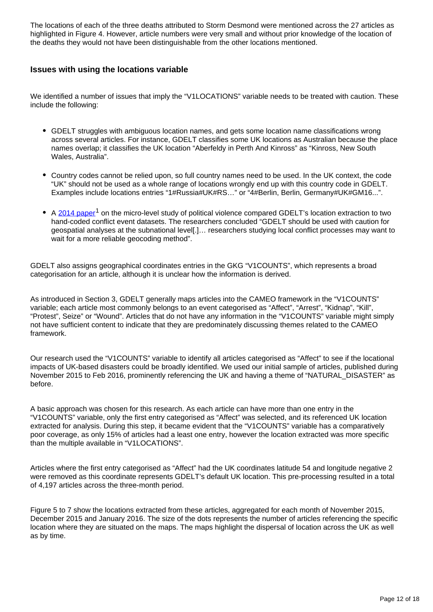The locations of each of the three deaths attributed to Storm Desmond were mentioned across the 27 articles as highlighted in Figure 4. However, article numbers were very small and without prior knowledge of the location of the deaths they would not have been distinguishable from the other locations mentioned.

#### **Issues with using the locations variable**

We identified a number of issues that imply the "V1LOCATIONS" variable needs to be treated with caution. These include the following:

- GDELT struggles with ambiguous location names, and gets some location name classifications wrong across several articles. For instance, GDELT classifies some UK locations as Australian because the place names overlap; it classifies the UK location "Aberfeldy in Perth And Kinross" as "Kinross, New South Wales, Australia".
- Country codes cannot be relied upon, so full country names need to be used. In the UK context, the code "UK" should not be used as a whole range of locations wrongly end up with this country code in GDELT. Examples include locations entries "1#Russia#UK#RS…" or "4#Berlin, Berlin, Germany#UK#GM16...".
- $\bullet$  A [2014 paper](https://doi.org/10.1177/2053168014539924)<sup>1</sup> on the micro-level study of political violence compared GDELT's location extraction to two hand-coded conflict event datasets. The researchers concluded "GDELT should be used with caution for geospatial analyses at the subnational level[.]… researchers studying local conflict processes may want to wait for a more reliable geocoding method".

GDELT also assigns geographical coordinates entries in the GKG "V1COUNTS", which represents a broad categorisation for an article, although it is unclear how the information is derived.

As introduced in Section 3, GDELT generally maps articles into the CAMEO framework in the "V1COUNTS" variable; each article most commonly belongs to an event categorised as "Affect", "Arrest", "Kidnap", "Kill", "Protest", Seize" or "Wound". Articles that do not have any information in the "V1COUNTS" variable might simply not have sufficient content to indicate that they are predominately discussing themes related to the CAMEO framework.

Our research used the "V1COUNTS" variable to identify all articles categorised as "Affect" to see if the locational impacts of UK-based disasters could be broadly identified. We used our initial sample of articles, published during November 2015 to Feb 2016, prominently referencing the UK and having a theme of "NATURAL\_DISASTER" as before.

A basic approach was chosen for this research. As each article can have more than one entry in the "V1COUNTS" variable, only the first entry categorised as "Affect" was selected, and its referenced UK location extracted for analysis. During this step, it became evident that the "V1COUNTS" variable has a comparatively poor coverage, as only 15% of articles had a least one entry, however the location extracted was more specific than the multiple available in "V1LOCATIONS".

Articles where the first entry categorised as "Affect" had the UK coordinates latitude 54 and longitude negative 2 were removed as this coordinate represents GDELT's default UK location. This pre-processing resulted in a total of 4,197 articles across the three-month period.

Figure 5 to 7 show the locations extracted from these articles, aggregated for each month of November 2015, December 2015 and January 2016. The size of the dots represents the number of articles referencing the specific location where they are situated on the maps. The maps highlight the dispersal of location across the UK as well as by time.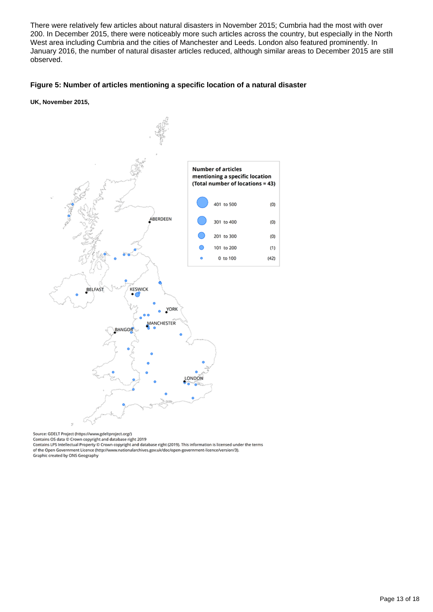There were relatively few articles about natural disasters in November 2015; Cumbria had the most with over 200. In December 2015, there were noticeably more such articles across the country, but especially in the North West area including Cumbria and the cities of Manchester and Leeds. London also featured prominently. In January 2016, the number of natural disaster articles reduced, although similar areas to December 2015 are still observed.

#### **Figure 5: Number of articles mentioning a specific location of a natural disaster**

**UK, November 2015,**



Source: GDELT Project (https://www.gdeltproject.org/)

Contains OS data © Crown copyright and database right 2019<br>Contains OS data © Crown copyright and database right 2019<br>Contains LPS Intellectual Property © Crown copyright and database right (2019). This information is lice of the Open Government Licence (http://www.nationalarchives.gov.uk/doc/open-government-licence/version/3). Graphic created by ONS Geography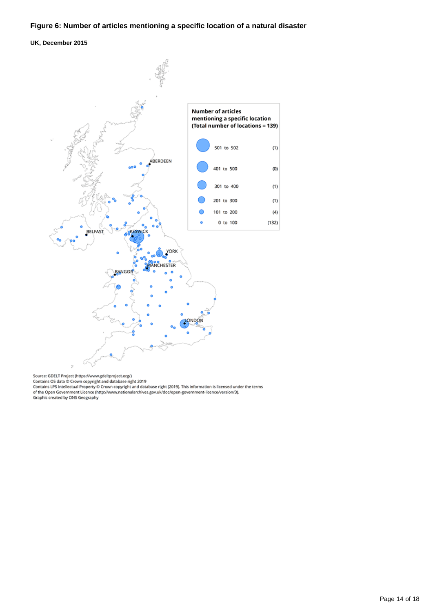#### **Figure 6: Number of articles mentioning a specific location of a natural disaster**

**UK, December 2015**



Source: GDELT Project (https://www.gdeltproject.org/)<br>Contains OS data © Crown copyright and database right 2019<br>Contains LPS Intellectual Property © Crown copyright and database right (2019). This information is licensed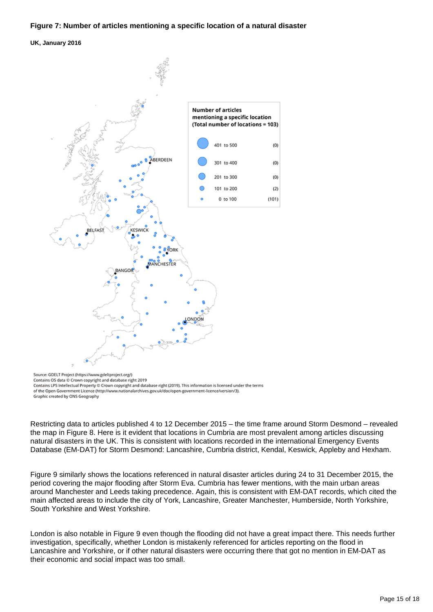#### **Figure 7: Number of articles mentioning a specific location of a natural disaster**

#### **UK, January 2016**



Source: GDELT Project (https://www.gdeltproject.org/) Contains OS data @ Crown copyright and database right 2019

Restricting data to articles published 4 to 12 December 2015 – the time frame around Storm Desmond – revealed the map in Figure 8. Here is it evident that locations in Cumbria are most prevalent among articles discussing natural disasters in the UK. This is consistent with locations recorded in the international Emergency Events Database (EM-DAT) for Storm Desmond: Lancashire, Cumbria district, Kendal, Keswick, Appleby and Hexham.

Figure 9 similarly shows the locations referenced in natural disaster articles during 24 to 31 December 2015, the period covering the major flooding after Storm Eva. Cumbria has fewer mentions, with the main urban areas around Manchester and Leeds taking precedence. Again, this is consistent with EM-DAT records, which cited the main affected areas to include the city of York, Lancashire, Greater Manchester, Humberside, North Yorkshire, South Yorkshire and West Yorkshire.

London is also notable in Figure 9 even though the flooding did not have a great impact there. This needs further investigation, specifically, whether London is mistakenly referenced for articles reporting on the flood in Lancashire and Yorkshire, or if other natural disasters were occurring there that got no mention in EM-DAT as their economic and social impact was too small.

Contains LPS Intellectual Property © Crown copyright and database right (2019). This information is licensed under the terms of the Open Government Licence (http://www.nationalarchives.gov.uk/doc/open-government-licence/version/3). Graphic created by ONS Geography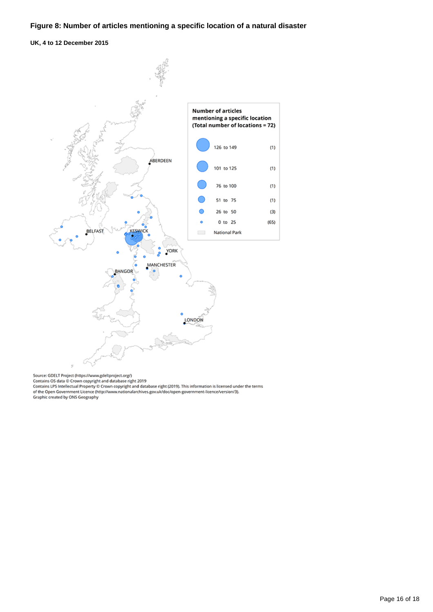#### **Figure 8: Number of articles mentioning a specific location of a natural disaster**

**UK, 4 to 12 December 2015**



Source: GDELT Project (https://www.gdeltproject.org/)

Source: Octaring OS data © Crown copyright and database right 2019<br>Contains OS data © Crown copyright and database right 2019<br>Contains LPS Intellectual Property © Crown copyright and database right (2019). This information Graphic created by ONS Geography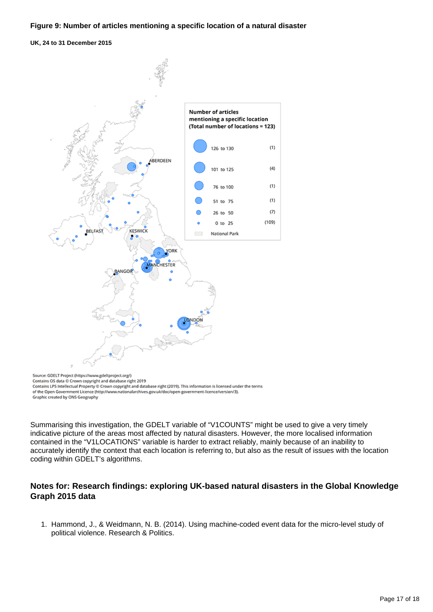**UK, 24 to 31 December 2015**



Source: Source (Note) of the commission of the state of the Source of the Contains OS data @ Crown copyright and database right 2019<br>Contains LPS Intellectual Property © Crown copyright and database right (2019). This info of the Open Government Licence (http://www.nationalarchives.gov.uk/doc/open-government-licence/version/3). Graphic created by ONS Geography

Summarising this investigation, the GDELT variable of "V1COUNTS" might be used to give a very timely indicative picture of the areas most affected by natural disasters. However, the more localised information contained in the "V1LOCATIONS" variable is harder to extract reliably, mainly because of an inability to accurately identify the context that each location is referring to, but also as the result of issues with the location coding within GDELT's algorithms.

#### **Notes for: Research findings: exploring UK-based natural disasters in the Global Knowledge Graph 2015 data**

1. Hammond, J., & Weidmann, N. B. (2014). Using machine-coded event data for the micro-level study of political violence. Research & Politics.